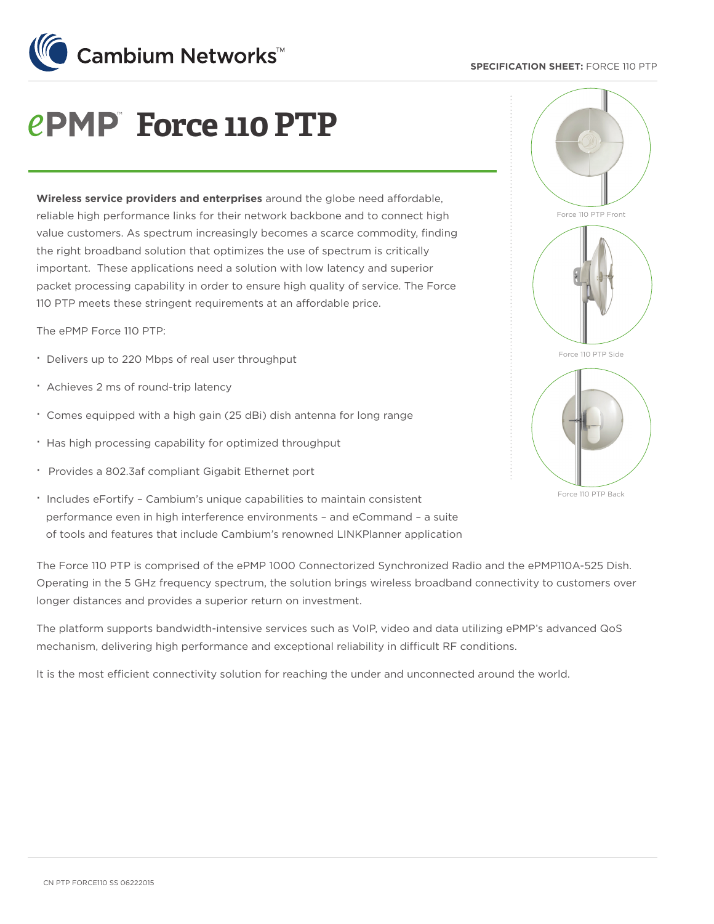### **SPECIFICATION SHEET:** FORCE 110 PTP



# *<u>ePMP Force 110 PTP</u>*

**Wireless service providers and enterprises** around the globe need affordable, reliable high performance links for their network backbone and to connect high value customers. As spectrum increasingly becomes a scarce commodity, finding the right broadband solution that optimizes the use of spectrum is critically important. These applications need a solution with low latency and superior packet processing capability in order to ensure high quality of service. The Force 110 PTP meets these stringent requirements at an affordable price.

The ePMP Force 110 PTP:

- · Delivers up to 220 Mbps of real user throughput
- · Achieves 2 ms of round-trip latency
- · Comes equipped with a high gain (25 dBi) dish antenna for long range
- · Has high processing capability for optimized throughput
- · Provides a 802.3af compliant Gigabit Ethernet port
- · Includes eFortify Cambium's unique capabilities to maintain consistent performance even in high interference environments – and eCommand – a suite of tools and features that include Cambium's renowned LINKPlanner application

The Force 110 PTP is comprised of the ePMP 1000 Connectorized Synchronized Radio and the ePMP110A-525 Dish. Operating in the 5 GHz frequency spectrum, the solution brings wireless broadband connectivity to customers over longer distances and provides a superior return on investment.

The platform supports bandwidth-intensive services such as VoIP, video and data utilizing ePMP's advanced QoS mechanism, delivering high performance and exceptional reliability in difficult RF conditions.

It is the most efficient connectivity solution for reaching the under and unconnected around the world.



Force 110 PTP Back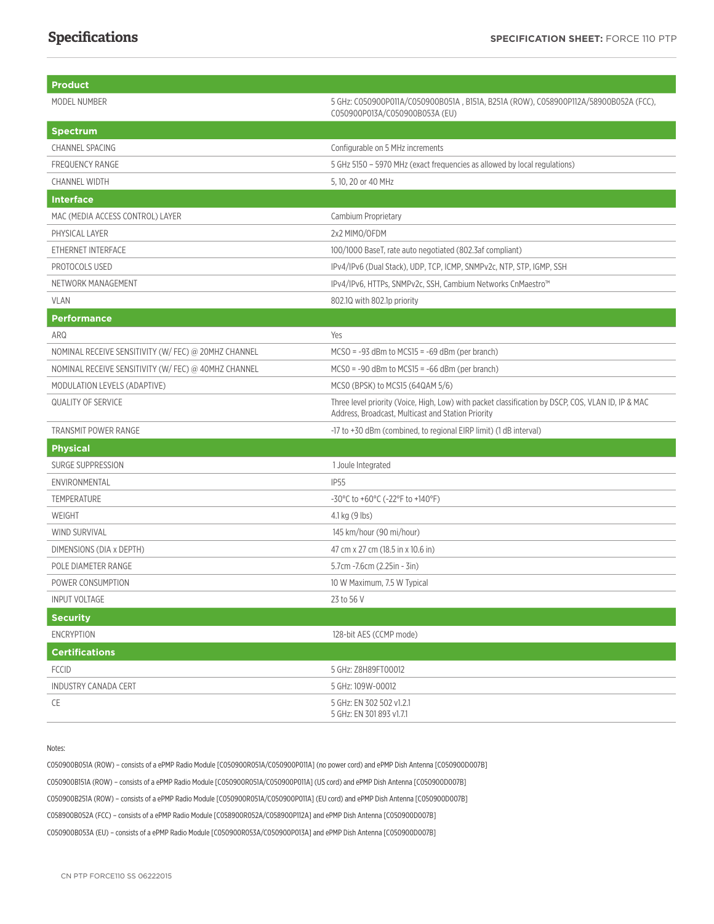| Product                                              |                                                                                                                                                          |
|------------------------------------------------------|----------------------------------------------------------------------------------------------------------------------------------------------------------|
| MODEL NUMBER                                         | 5 GHz: C050900P011A/C050900B051A, B151A, B251A (ROW), C058900P112A/58900B052A (FCC),<br>C050900P013A/C050900B053A (EU)                                   |
| Spectrum                                             |                                                                                                                                                          |
| <b>CHANNEL SPACING</b>                               | Configurable on 5 MHz increments                                                                                                                         |
| <b>FREQUENCY RANGE</b>                               | 5 GHz 5150 - 5970 MHz (exact frequencies as allowed by local regulations)                                                                                |
| <b>CHANNEL WIDTH</b>                                 | 5, 10, 20 or 40 MHz                                                                                                                                      |
| <b>Interface</b>                                     |                                                                                                                                                          |
| MAC (MEDIA ACCESS CONTROL) LAYER                     | Cambium Proprietary                                                                                                                                      |
| PHYSICAL LAYER                                       | 2x2 MIMO/OFDM                                                                                                                                            |
| ETHERNET INTERFACE                                   | 100/1000 BaseT, rate auto negotiated (802.3af compliant)                                                                                                 |
| PROTOCOLS USED                                       | IPv4/IPv6 (Dual Stack), UDP, TCP, ICMP, SNMPv2c, NTP, STP, IGMP, SSH                                                                                     |
| NETWORK MANAGEMENT                                   | IPv4/IPv6, HTTPs, SNMPv2c, SSH, Cambium Networks CnMaestro™                                                                                              |
| <b>VLAN</b>                                          | 802.10 with 802.1p priority                                                                                                                              |
| <b>Performance</b>                                   |                                                                                                                                                          |
| ARQ                                                  | Yes                                                                                                                                                      |
| NOMINAL RECEIVE SENSITIVITY (W/ FEC) @ 20MHZ CHANNEL | $MCSO = -93$ dBm to $MCS15 = -69$ dBm (per branch)                                                                                                       |
| NOMINAL RECEIVE SENSITIVITY (W/ FEC) @ 40MHZ CHANNEL | $MCSO = -90$ dBm to $MCS15 = -66$ dBm (per branch)                                                                                                       |
| MODULATION LEVELS (ADAPTIVE)                         | MCSO (BPSK) to MCS15 (64QAM 5/6)                                                                                                                         |
| <b>QUALITY OF SERVICE</b>                            | Three level priority (Voice, High, Low) with packet classification by DSCP, COS, VLAN ID, IP & MAC<br>Address, Broadcast, Multicast and Station Priority |
| TRANSMIT POWER RANGE                                 | -17 to +30 dBm (combined, to regional EIRP limit) (1 dB interval)                                                                                        |
| <b>Physical</b>                                      |                                                                                                                                                          |
| <b>SURGE SUPPRESSION</b>                             | 1 Joule Integrated                                                                                                                                       |
| ENVIRONMENTAL                                        | <b>IP55</b>                                                                                                                                              |
| <b>TEMPERATURE</b>                                   | -30°C to +60°C (-22°F to +140°F)                                                                                                                         |
| WEIGHT                                               | 4.1 kg (9 lbs)                                                                                                                                           |
| WIND SURVIVAL                                        | 145 km/hour (90 mi/hour)                                                                                                                                 |
| DIMENSIONS (DIA x DEPTH)                             | 47 cm x 27 cm (18.5 in x 10.6 in)                                                                                                                        |
| POLE DIAMETER RANGE                                  | 5.7cm -7.6cm (2.25in - 3in)                                                                                                                              |
| POWER CONSUMPTION                                    | 10 W Maximum, 7.5 W Typical                                                                                                                              |
| <b>INPUT VOLTAGE</b>                                 | 23 to 56 V                                                                                                                                               |
| <b>Security</b>                                      |                                                                                                                                                          |
| <b>ENCRYPTION</b>                                    | 128-bit AES (CCMP mode)                                                                                                                                  |
| <b>Certifications</b>                                |                                                                                                                                                          |
| <b>FCCID</b>                                         | 5 GHz: Z8H89FT00012                                                                                                                                      |
| <b>INDUSTRY CANADA CERT</b>                          | 5 GHz: 109W-00012                                                                                                                                        |
| CE                                                   | 5 GHz: EN 302 502 v1.2.1<br>5 GHz: EN 301 893 v1.7.1                                                                                                     |

#### Notes:

C050900B051A (ROW) – consists of a ePMP Radio Module [C050900R051A/C050900P011A] (no power cord) and ePMP Dish Antenna [C050900D007B] C050900B151A (ROW) – consists of a ePMP Radio Module [C050900R051A/C050900P011A] (US cord) and ePMP Dish Antenna [C050900D007B] C050900B251A (ROW) – consists of a ePMP Radio Module [C050900R051A/C050900P011A] (EU cord) and ePMP Dish Antenna [C050900D007B] C058900B052A (FCC) – consists of a ePMP Radio Module [C058900R052A/C058900P112A] and ePMP Dish Antenna [C050900D007B] C050900B053A (EU) – consists of a ePMP Radio Module [C050900R053A/C050900P013A] and ePMP Dish Antenna [C050900D007B]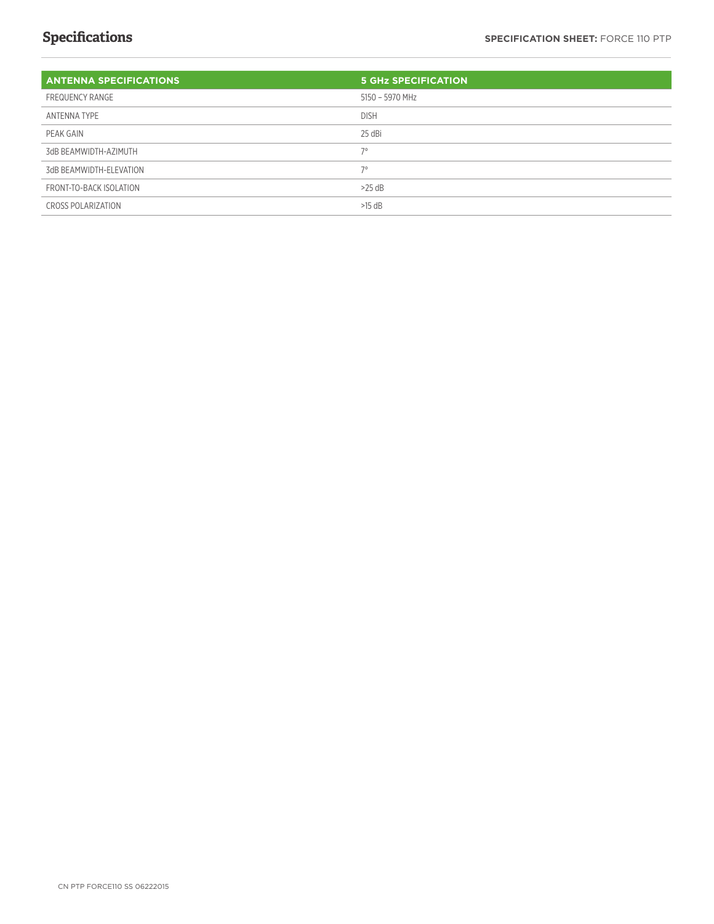### **Specifications**

| <b>ANTENNA SPECIFICATIONS</b> | <b>5 GHZ SPECIFICATION</b> |
|-------------------------------|----------------------------|
| FREQUENCY RANGE               | 5150 - 5970 MHz            |
| ANTENNA TYPE                  | <b>DISH</b>                |
| PEAK GAIN                     | 25 dBi                     |
| 3dB BEAMWIDTH-AZIMUTH         | $7^\circ$                  |
| 3dB BEAMWIDTH-ELEVATION       | 70                         |
| FRONT-TO-BACK ISOLATION       | $>25$ dB                   |
| <b>CROSS POLARIZATION</b>     | $>15$ dB                   |